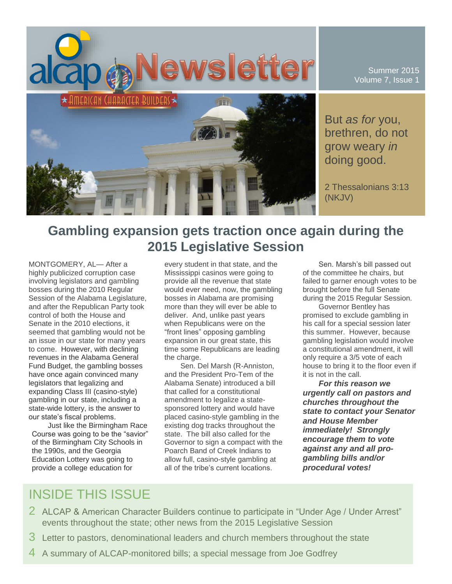

Summer 2015 Volume 7, Issue 1

But *as for* you, brethren, do not grow weary *in* doing good.

2 Thessalonians 3:13 (NKJV)

# **Gambling expansion gets traction once again during the 2015 Legislative Session**

MONTGOMERY, AL— After a highly publicized corruption case involving legislators and gambling bosses during the 2010 Regular Session of the Alabama Legislature, and after the Republican Party took control of both the House and Senate in the 2010 elections, it seemed that gambling would not be an issue in our state for many years to come. However, with declining revenues in the Alabama General Fund Budget, the gambling bosses have once again convinced many legislators that legalizing and expanding Class III (casino-style) gambling in our state, including a state-wide lottery, is the answer to our state's fiscal problems.

Just like the Birmingham Race Course was going to be the "savior" of the Birmingham City Schools in the 1990s, and the Georgia Education Lottery was going to provide a college education for

every student in that state, and the Mississippi casinos were going to provide all the revenue that state would ever need, now, the gambling bosses in Alabama are promising more than they will ever be able to deliver. And, unlike past years when Republicans were on the "front lines" opposing gambling expansion in our great state, this time some Republicans are leading the charge.

Sen. Del Marsh (R-Anniston, and the President Pro-Tem of the Alabama Senate) introduced a bill that called for a constitutional amendment to legalize a statesponsored lottery and would have placed casino-style gambling in the existing dog tracks throughout the state. The bill also called for the Governor to sign a compact with the Poarch Band of Creek Indians to allow full, casino-style gambling at all of the tribe's current locations.

Sen. Marsh's bill passed out of the committee he chairs, but failed to garner enough votes to be brought before the full Senate during the 2015 Regular Session.

Governor Bentley has promised to exclude gambling in his call for a special session later this summer. However, because gambling legislation would involve a constitutional amendment, it will only require a 3/5 vote of each house to bring it to the floor even if it is not in the call.

*For this reason we urgently call on pastors and churches throughout the state to contact your Senator and House Member immediately! Strongly encourage them to vote against any and all progambling bills and/or procedural votes!*

# INSIDE THIS ISSUE

- 2 ALCAP & American Character Builders continue to participate in "Under Age / Under Arrest" events throughout the state; other news from the 2015 Legislative Session
- 3 Letter to pastors, denominational leaders and church members throughout the state
- 4 A summary of ALCAP-monitored bills; a special message from Joe Godfrey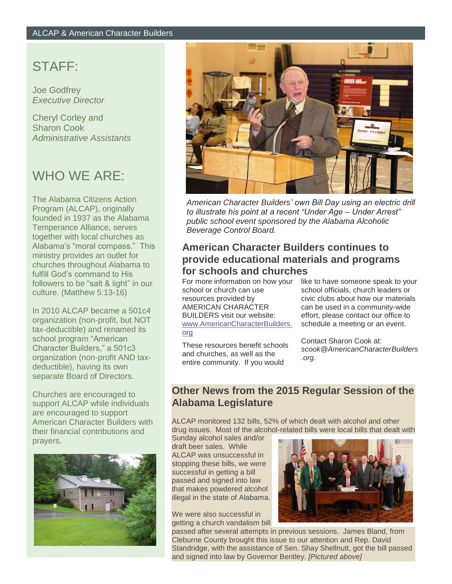## STAFF:

Joe Godfrey *Executive Director*

Cheryl Corley and Sharon Cook *Administrative Assistants*

# WHO WE ARE:

The Alabama Citizens Action Program (ALCAP), originally founded in 1937 as the Alabama Temperance Alliance, serves together with local churches as Alabama's "moral compass." This ministry provides an outlet for churches throughout Alabama to fulfill God's command to His followers to be "salt & light" in our culture. (Matthew 5:13-16)

In 2010 ALCAP became a 501c4 organization (non-profit, but NOT tax-deductible) and renamed its school program "American Character Builders," a 501c3 organization (non-profit AND taxdeductible), having its own separate Board of Directors.

Churches are encouraged to support ALCAP while individuals are encouraged to support American Character Builders with their financial contributions and prayers.





*American Character Builders' own Bill Day using an electric drill to illustrate his point at a recent "Under Age – Under Arrest" public school event sponsored by the Alabama Alcoholic Beverage Control Board.*

### **American Character Builders continues to provide educational materials and programs for schools and churches**

For more information on how your school or church can use resources provided by AMERICAN CHARACTER BUILDERS visit our website: [www.AmericanCharacterBuilders.](http://www.americancharacterbuilders.org/) [org](http://www.americancharacterbuilders.org/)

These resources benefit schools and churches, as well as the entire community. If you would

like to have someone speak to your school officials, church leaders or civic clubs about how our materials can be used in a community-wide effort, please contact our office to schedule a meeting or an event.

Contact Sharon Cook at: *scook@AmericanCharacterBuilders .org*.

### **Other News from the 2015 Regular Session of the Alabama Legislature**

ALCAP monitored 132 bills, 52% of which dealt with alcohol and other drug issues. Most of the alcohol-related bills were local bills that dealt with

Sunday alcohol sales and/or draft beer sales. While ALCAP was unsuccessful in stopping these bills, we were successful in getting a bill passed and signed into law that makes powdered alcohol illegal in the state of Alabama.

We were also successful in getting a church vandalism bill



passed after several attempts in previous sessions. James Bland, from Cleburne County brought this issue to our attention and Rep. David Standridge, with the assistance of Sen. Shay Shellnutt, got the bill passed and signed into law by Governor Bentley. *[Pictured above]*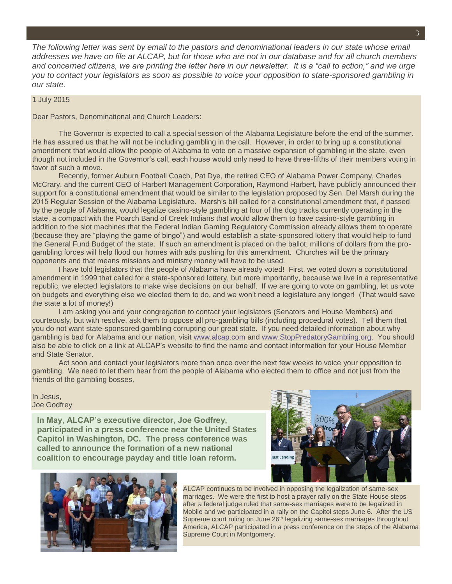*The following letter was sent by email to the pastors and denominational leaders in our state whose email addresses we have on file at ALCAP, but for those who are not in our database and for all church members and concerned citizens, we are printing the letter here in our newsletter. It is a "call to action," and we urge you to contact your legislators as soon as possible to voice your opposition to state-sponsored gambling in our state.*

#### 1 July 2015

Dear Pastors, Denominational and Church Leaders:

The Governor is expected to call a special session of the Alabama Legislature before the end of the summer. He has assured us that he will not be including gambling in the call. However, in order to bring up a constitutional amendment that would allow the people of Alabama to vote on a massive expansion of gambling in the state, even though not included in the Governor's call, each house would only need to have three-fifths of their members voting in favor of such a move.

Recently, former Auburn Football Coach, Pat Dye, the retired CEO of Alabama Power Company, Charles McCrary, and the current CEO of Harbert Management Corporation, Raymond Harbert, have publicly announced their support for a constitutional amendment that would be similar to the legislation proposed by Sen. Del Marsh during the 2015 Regular Session of the Alabama Legislature. Marsh's bill called for a constitutional amendment that, if passed by the people of Alabama, would legalize casino-style gambling at four of the dog tracks currently operating in the state, a compact with the Poarch Band of Creek Indians that would allow them to have casino-style gambling in addition to the slot machines that the Federal Indian Gaming Regulatory Commission already allows them to operate (because they are "playing the game of bingo") and would establish a state-sponsored lottery that would help to fund the General Fund Budget of the state. If such an amendment is placed on the ballot, millions of dollars from the progambling forces will help flood our homes with ads pushing for this amendment. Churches will be the primary opponents and that means missions and ministry money will have to be used.

I have told legislators that the people of Alabama have already voted! First, we voted down a constitutional amendment in 1999 that called for a state-sponsored lottery, but more importantly, because we live in a representative republic, we elected legislators to make wise decisions on our behalf. If we are going to vote on gambling, let us vote on budgets and everything else we elected them to do, and we won't need a legislature any longer! (That would save the state a lot of money!)

I am asking you and your congregation to contact your legislators (Senators and House Members) and courteously, but with resolve, ask them to oppose all pro-gambling bills (including procedural votes). Tell them that you do not want state-sponsored gambling corrupting our great state. If you need detailed information about why gambling is bad for Alabama and our nation, visit [www.alcap.com](http://www.alcap.com/) and [www.StopPredatoryGambling.org.](http://www.stoppredatorygambling.org/) You should also be able to click on a link at ALCAP's website to find the name and contact information for your House Member and State Senator.

Act soon and contact your legislators more than once over the next few weeks to voice your opposition to gambling. We need to let them hear from the people of Alabama who elected them to office and not just from the friends of the gambling bosses.

#### In Jesus, Joe Godfrey

**In May, ALCAP's executive director, Joe Godfrey, participated in a press conference near the United States Capitol in Washington, DC. The press conference was called to announce the formation of a new national coalition to encourage payday and title loan reform.**





ALCAP continues to be involved in opposing the legalization of same-sex marriages. We were the first to host a prayer rally on the State House steps after a federal judge ruled that same-sex marriages were to be legalized in Mobile and we participated in a rally on the Capitol steps June 6. After the US Supreme court ruling on June 26<sup>th</sup> legalizing same-sex marriages throughout America, ALCAP participated in a press conference on the steps of the Alabama Supreme Court in Montgomery.